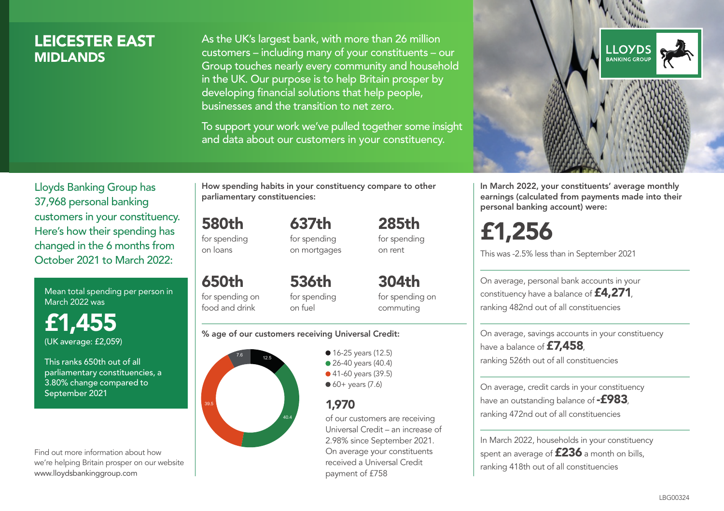## LEICESTER EAST **MIDI ANDS**

As the UK's largest bank, with more than 26 million customers – including many of your constituents – our Group touches nearly every community and household in the UK. Our purpose is to help Britain prosper by developing financial solutions that help people, businesses and the transition to net zero.

To support your work we've pulled together some insight and data about our customers in your constituency.



In March 2022, your constituents' average monthly earnings (calculated from payments made into their personal banking account) were:

£1,256

This was -2.5% less than in September 2021

On average, personal bank accounts in your constituency have a balance of £4,271, ranking 482nd out of all constituencies

On average, savings accounts in your constituency have a balance of **£7,458** ranking 526th out of all constituencies

On average, credit cards in your constituency have an outstanding balance of  $-$ £983. ranking 472nd out of all constituencies

In March 2022, households in your constituency spent an average of £236 a month on bills, ranking 418th out of all constituencies

Lloyds Banking Group has 37,968 personal banking customers in your constituency. Here's how their spending has changed in the 6 months from October 2021 to March 2022:

Mean total spending per person in March 2022 was

£1,455 (UK average: £2,059)

This ranks 650th out of all parliamentary constituencies, a 3.80% change compared to September 2021

Find out more information about how we're helping Britain prosper on our website www.lloydsbankinggroup.com

How spending habits in your constituency compare to other parliamentary constituencies:

> 637th for spending on mortgages

580th for spending

on loans

650th for spending on food and drink 536th for spending on fuel

304th for spending on commuting

285th for spending on rent

### % age of our customers receiving Universal Credit:



• 16-25 years (12.5) • 26-40 years (40.4) ● 41-60 years (39.5)  $60+$  years (7.6)

## 1,970

of our customers are receiving Universal Credit – an increase of 2.98% since September 2021. On average your constituents received a Universal Credit payment of £758